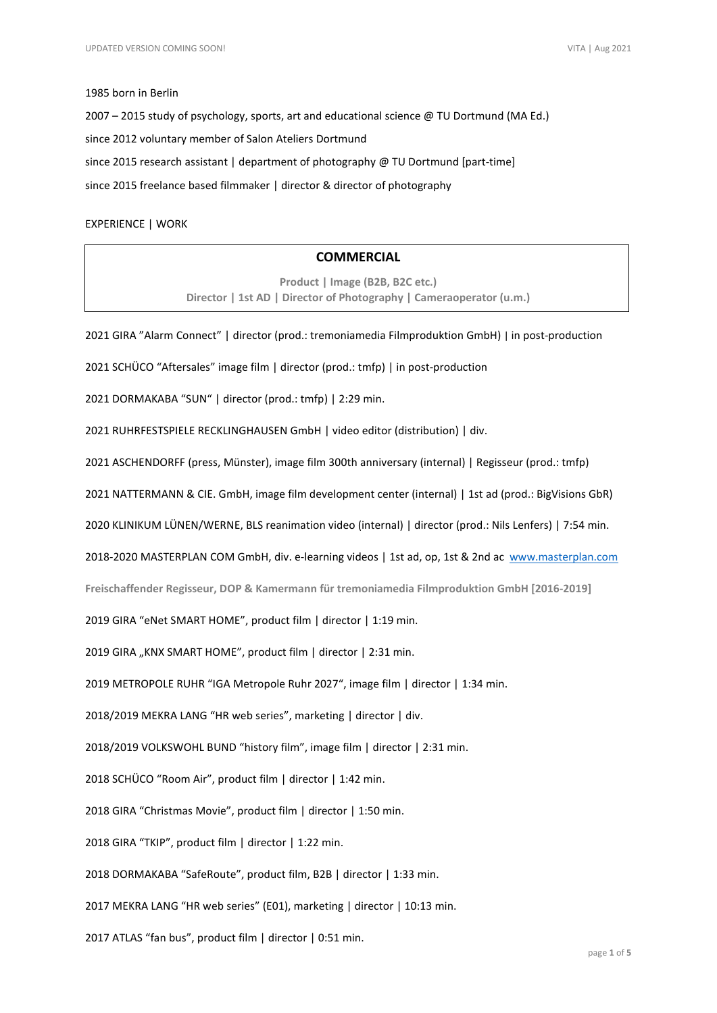#### 1985 born in Berlin

2007 – 2015 study of psychology, sports, art and educational science @ TU Dortmund (MA Ed.) since 2012 voluntary member of Salon Ateliers Dortmund since 2015 research assistant | department of photography @ TU Dortmund [part-time] since 2015 freelance based filmmaker | director & director of photography

### EXPERIENCE | WORK

## **COMMERCIAL**

**Product | Image (B2B, B2C etc.) Director | 1st AD | Director of Photography | Cameraoperator (u.m.)**

2021 GIRA "Alarm Connect" | director (prod.: tremoniamedia Filmproduktion GmbH) | in post-production

2021 SCHÜCO "Aftersales" image film | director (prod.: tmfp) | in post-production

2021 DORMAKABA "SUN" | director (prod.: tmfp) | 2:29 min.

2021 RUHRFESTSPIELE RECKLINGHAUSEN GmbH | video editor (distribution) | div.

2021 ASCHENDORFF (press, Münster), image film 300th anniversary (internal) | Regisseur (prod.: tmfp)

2021 NATTERMANN & CIE. GmbH, image film development center (internal) | 1st ad (prod.: BigVisions GbR)

2020 KLINIKUM LÜNEN/WERNE, BLS reanimation video (internal) | director (prod.: Nils Lenfers) | 7:54 min.

2018-2020 MASTERPLAN COM GmbH, div. e-learning videos | 1st ad, op, 1st & 2nd ac [www.masterplan.com](http://www.masterplan.com/)

**Freischaffender Regisseur, DOP & Kamermann für tremoniamedia Filmproduktion GmbH [2016-2019]**

2019 GIRA "eNet SMART HOME", product film | director | 1:19 min.

2019 GIRA "KNX SMART HOME", product film | director | 2:31 min.

2019 METROPOLE RUHR "IGA Metropole Ruhr 2027", image film | director | 1:34 min.

2018/2019 MEKRA LANG "HR web series", marketing | director | div.

2018/2019 VOLKSWOHL BUND "history film", image film | director | 2:31 min.

2018 SCHÜCO "Room Air", product film | director | 1:42 min.

2018 GIRA "Christmas Movie", product film | director | 1:50 min.

2018 GIRA "TKIP", product film | director | 1:22 min.

2018 DORMAKABA "SafeRoute", product film, B2B | director | 1:33 min.

2017 MEKRA LANG "HR web series" (E01), marketing | director | 10:13 min.

2017 ATLAS "fan bus", product film | director | 0:51 min.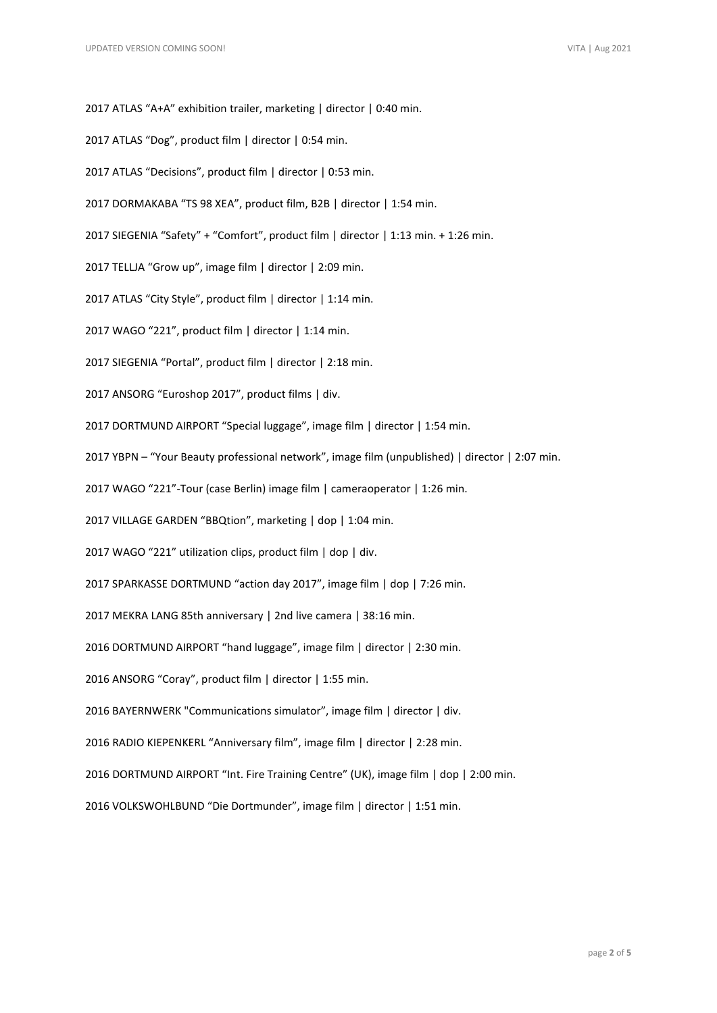- 2017 ATLAS "A+A" exhibition trailer, marketing | director | 0:40 min.
- 2017 ATLAS "Dog", product film | director | 0:54 min.
- 2017 ATLAS "Decisions", product film | director | 0:53 min.
- 2017 DORMAKABA "TS 98 XEA", product film, B2B | director | 1:54 min.
- 2017 SIEGENIA "Safety" + "Comfort", product film | director | 1:13 min. + 1:26 min.
- 2017 TELLJA "Grow up", image film | director | 2:09 min.
- 2017 ATLAS "City Style", product film | director | 1:14 min.
- 2017 WAGO "221", product film | director | 1:14 min.
- 2017 SIEGENIA "Portal", product film | director | 2:18 min.
- 2017 ANSORG "Euroshop 2017", product films | div.
- 2017 DORTMUND AIRPORT "Special luggage", image film | director | 1:54 min.
- 2017 YBPN "Your Beauty professional network", image film (unpublished) | director | 2:07 min.
- 2017 WAGO "221"-Tour (case Berlin) image film | cameraoperator | 1:26 min.
- 2017 VILLAGE GARDEN "BBQtion", marketing | dop | 1:04 min.
- 2017 WAGO "221" utilization clips, product film | dop | div.
- 2017 SPARKASSE DORTMUND "action day 2017", image film | dop | 7:26 min.
- 2017 MEKRA LANG 85th anniversary | 2nd live camera | 38:16 min.
- 2016 DORTMUND AIRPORT "hand luggage", image film | director | 2:30 min.
- 2016 ANSORG "Coray", product film | director | 1:55 min.
- 2016 BAYERNWERK "Communications simulator", image film | director | div.
- 2016 RADIO KIEPENKERL "Anniversary film", image film | director | 2:28 min.
- 2016 DORTMUND AIRPORT "Int. Fire Training Centre" (UK), image film | dop | 2:00 min.
- 2016 VOLKSWOHLBUND "Die Dortmunder", image film | director | 1:51 min.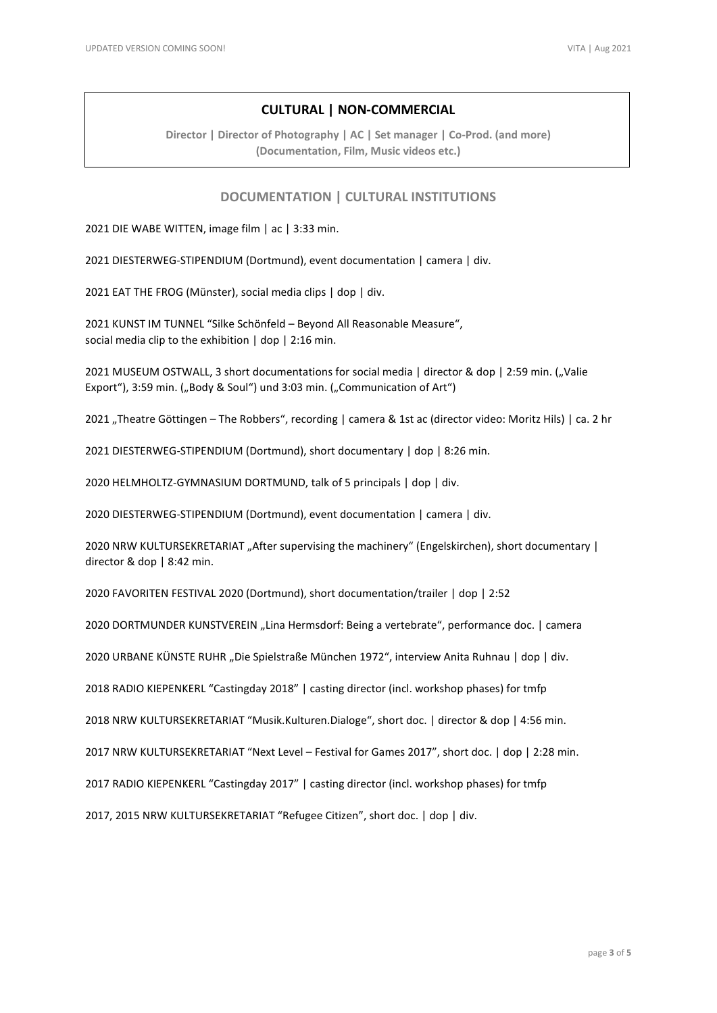# **CULTURAL | NON-COMMERCIAL**

**Director | Director of Photography | AC | Set manager | Co-Prod. (and more) (Documentation, Film, Music videos etc.)**

### **DOCUMENTATION | CULTURAL INSTITUTIONS**

2021 DIE WABE WITTEN, image film | ac | 3:33 min.

2021 DIESTERWEG-STIPENDIUM (Dortmund), event documentation | camera | div.

2021 EAT THE FROG (Münster), social media clips | dop | div.

2021 KUNST IM TUNNEL "Silke Schönfeld – Beyond All Reasonable Measure", social media clip to the exhibition | dop | 2:16 min.

2021 MUSEUM OSTWALL, 3 short documentations for social media | director & dop | 2:59 min. ("Valie Export"), 3:59 min. ("Body & Soul") und 3:03 min. ("Communication of Art")

2021 "Theatre Göttingen – The Robbers", recording | camera & 1st ac (director video: Moritz Hils) | ca. 2 hr

2021 DIESTERWEG-STIPENDIUM (Dortmund), short documentary | dop | 8:26 min.

2020 HELMHOLTZ-GYMNASIUM DORTMUND, talk of 5 principals | dop | div.

2020 DIESTERWEG-STIPENDIUM (Dortmund), event documentation | camera | div.

2020 NRW KULTURSEKRETARIAT "After supervising the machinery" (Engelskirchen), short documentary | director & dop | 8:42 min.

2020 FAVORITEN FESTIVAL 2020 (Dortmund), short documentation/trailer | dop | 2:52

2020 DORTMUNDER KUNSTVEREIN "Lina Hermsdorf: Being a vertebrate", performance doc. | camera

2020 URBANE KÜNSTE RUHR "Die Spielstraße München 1972", interview Anita Ruhnau | dop | div.

2018 RADIO KIEPENKERL "Castingday 2018" | casting director (incl. workshop phases) for tmfp

2018 NRW KULTURSEKRETARIAT "Musik.Kulturen.Dialoge", short doc. | director & dop | 4:56 min.

2017 NRW KULTURSEKRETARIAT "Next Level – Festival for Games 2017", short doc. | dop | 2:28 min.

2017 RADIO KIEPENKERL "Castingday 2017" | casting director (incl. workshop phases) for tmfp

2017, 2015 NRW KULTURSEKRETARIAT "Refugee Citizen", short doc. | dop | div.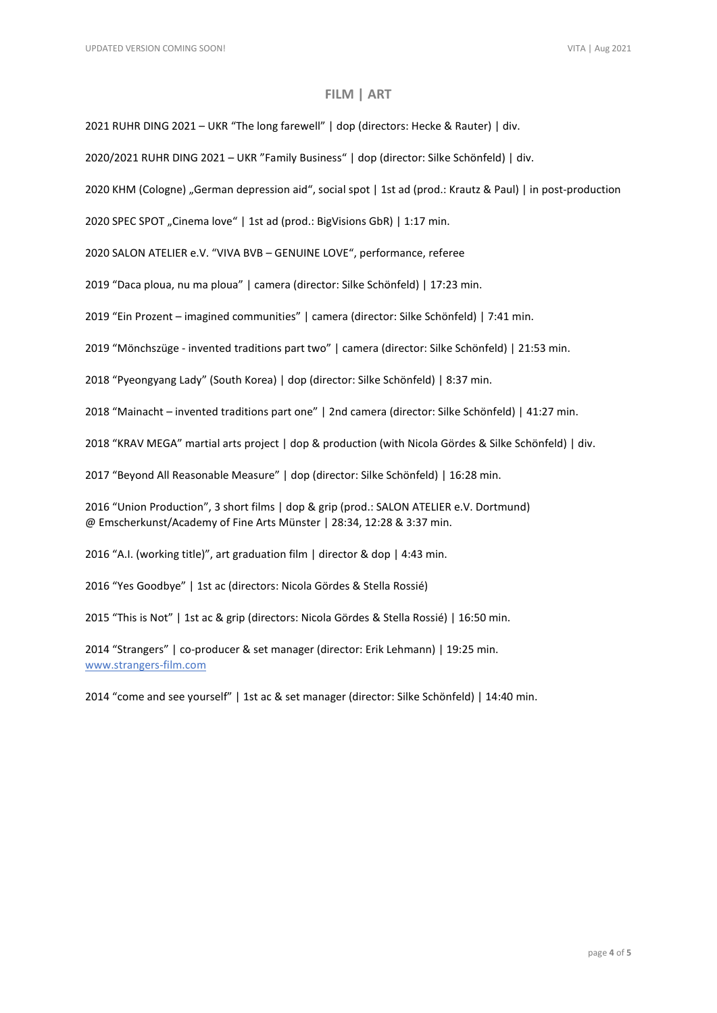### **FILM | ART**

2021 RUHR DING 2021 – UKR "The long farewell" | dop (directors: Hecke & Rauter) | div.

2020/2021 RUHR DING 2021 – UKR "Family Business" | dop (director: Silke Schönfeld) | div.

2020 KHM (Cologne) "German depression aid", social spot | 1st ad (prod.: Krautz & Paul) | in post-production

2020 SPEC SPOT "Cinema love" | 1st ad (prod.: BigVisions GbR) | 1:17 min.

2020 SALON ATELIER e.V. "VIVA BVB – GENUINE LOVE", performance, referee

2019 "Daca ploua, nu ma ploua" | camera (director: Silke Schönfeld) | 17:23 min.

2019 "Ein Prozent – imagined communities" | camera (director: Silke Schönfeld) | 7:41 min.

2019 "Mönchszüge - invented traditions part two" | camera (director: Silke Schönfeld) | 21:53 min.

2018 "Pyeongyang Lady" (South Korea) | dop (director: Silke Schönfeld) | 8:37 min.

2018 "Mainacht – invented traditions part one" | 2nd camera (director: Silke Schönfeld) | 41:27 min.

2018 "KRAV MEGA" martial arts project | dop & production (with Nicola Gördes & Silke Schönfeld) | div.

2017 "Beyond All Reasonable Measure" | dop (director: Silke Schönfeld) | 16:28 min.

2016 "Union Production", 3 short films | dop & grip (prod.: SALON ATELIER e.V. Dortmund) @ Emscherkunst/Academy of Fine Arts Münster | 28:34, 12:28 & 3:37 min.

2016 "A.I. (working title)", art graduation film | director & dop | 4:43 min.

2016 "Yes Goodbye" | 1st ac (directors: Nicola Gördes & Stella Rossié)

2015 "This is Not" | 1st ac & grip (directors: Nicola Gördes & Stella Rossié) | 16:50 min.

2014 "Strangers" | co-producer & set manager (director: Erik Lehmann) | 19:25 min. [www.strangers-film.com](http://www.strangers-film.com/)

2014 "come and see yourself" | 1st ac & set manager (director: Silke Schönfeld) | 14:40 min.